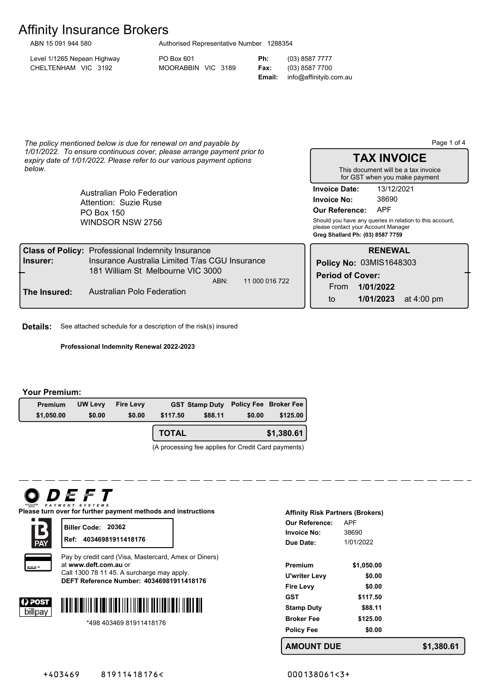# Affinity Insurance Brokers ABN 15 091 944 580

| Authorised Representative Number 1288354 |  |
|------------------------------------------|--|
|                                          |  |

Level 1/1265 Nepean Highway PO Box 601 **Ph:** (03) 8587 7777 CHELTENHAM VIC 3192 MOORABBIN VIC 3189 **Fax:** (03) 8587 7700

**Email:** info@affinityib.com.au

*The policy mentioned below is due for renewal on and payable by 1/01/2022. To ensure continuous cover, please arrange payment prior to expiry date of 1/01/2022. Please refer to our various payment options below.*

> WINDSOR NSW 2756 PO Box 150 Australian Polo Federation Attention: Suzie Ruse

Page 1 of 4

**TAX INVOICE** This document will be a tax invoice

**Invoice No:** 38690 **Invoice Date:** 13/12/2021 for GST when you make payment

**Our Reference:** APF

**Greg Shallard Ph: (03) 8587 7759** Should you have any queries in relation to this account, please contact your Account Manager

|              | <b>Class of Policy: Professional Indemnity Insurance</b> |                |                         | <b>RENEWAL</b>          |            |
|--------------|----------------------------------------------------------|----------------|-------------------------|-------------------------|------------|
| lnsurer:     | Insurance Australia Limited T/as CGU Insurance           |                |                         | Policy No: 03MIS1648303 |            |
| ┶            | 181 William St Melbourne VIC 3000<br>ABN:                | 11 000 016 722 | <b>Period of Cover:</b> |                         |            |
| The Insured: | Australian Polo Federation                               |                | From                    | 1/01/2022               |            |
|              |                                                          |                | to                      | 1/01/2023               | at 4:00 pm |

**Details:** See attached schedule for a description of the risk(s) insured

**Professional Indemnity Renewal 2022-2023**

#### **Your Premium:**

| Premium    | <b>UW Levy</b> | <b>Fire Levy</b> |              | GST Stamp Duty Policy Fee Broker Fee |        |            |
|------------|----------------|------------------|--------------|--------------------------------------|--------|------------|
| \$1,050.00 | \$0.00         | \$0.00           | \$117.50     | \$88.11                              | \$0.00 | \$125.00   |
|            |                |                  | <b>TOTAL</b> |                                      |        | \$1,380.61 |

(A processing fee applies for Credit Card payments)

# *DEFT*

**Please turn over for further payment methods and instructions**



**Biller Code: 20362 Ref: 40346981911418176**



Pay by credit card (Visa, Mastercard, Amex or Diners) at **www.deft.com.au** or Call 1300 78 11 45. A surcharge may apply.

**40346981911418176 DEFT Reference Number:**





\*498 403469 81911418176

| <b>Affinity Risk Partners (Brokers)</b> |            |  |  |  |
|-----------------------------------------|------------|--|--|--|
| Our Reference:                          | APF        |  |  |  |
| Invoice No:                             | 38690      |  |  |  |
| Due Date:                               | 1/01/2022  |  |  |  |
|                                         |            |  |  |  |
| Premium                                 | \$1,050.00 |  |  |  |
| U'writer Levy                           | \$0.00     |  |  |  |
| <b>Fire Levy</b>                        | \$0.00     |  |  |  |
| GST                                     | \$117.50   |  |  |  |
| <b>Stamp Duty</b>                       | \$88.11    |  |  |  |
| Broker Fee                              | \$125.00   |  |  |  |
| <b>Policy Fee</b>                       | \$0.00     |  |  |  |
| AMOLINT DI I                            |            |  |  |  |

**AMOUNT DUE \$1,380.61**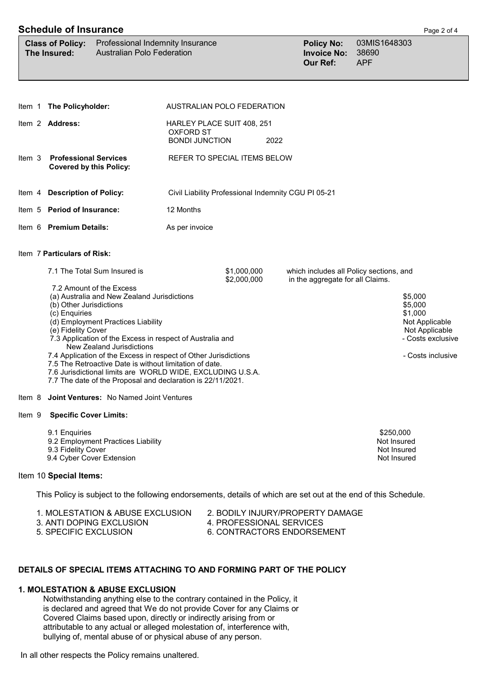## **Schedule of Insurance** Page 2 of <sup>4</sup>

|                                                                                                                                                                                                                                               | <b>Schedule of Insurance</b>                                   |                                                                                                                                                                                                                                                         |                                                                         |                            |      |                                                                             |                                                                             | Page 2 of 4       |
|-----------------------------------------------------------------------------------------------------------------------------------------------------------------------------------------------------------------------------------------------|----------------------------------------------------------------|---------------------------------------------------------------------------------------------------------------------------------------------------------------------------------------------------------------------------------------------------------|-------------------------------------------------------------------------|----------------------------|------|-----------------------------------------------------------------------------|-----------------------------------------------------------------------------|-------------------|
|                                                                                                                                                                                                                                               | <b>Class of Policy:</b><br>The Insured:                        | Professional Indemnity Insurance<br><b>Australian Polo Federation</b>                                                                                                                                                                                   |                                                                         |                            |      | <b>Policy No:</b><br><b>Invoice No:</b><br><b>Our Ref:</b>                  | 03MIS1648303<br>38690<br><b>APF</b>                                         |                   |
|                                                                                                                                                                                                                                               |                                                                |                                                                                                                                                                                                                                                         |                                                                         |                            |      |                                                                             |                                                                             |                   |
| ltem 1                                                                                                                                                                                                                                        | The Policyholder:                                              |                                                                                                                                                                                                                                                         | AUSTRALIAN POLO FEDERATION                                              |                            |      |                                                                             |                                                                             |                   |
|                                                                                                                                                                                                                                               | Item 2 Address:                                                |                                                                                                                                                                                                                                                         | HARLEY PLACE SUIT 408, 251<br><b>OXFORD ST</b><br><b>BONDI JUNCTION</b> |                            | 2022 |                                                                             |                                                                             |                   |
| Item 3                                                                                                                                                                                                                                        | <b>Professional Services</b><br><b>Covered by this Policy:</b> |                                                                                                                                                                                                                                                         | REFER TO SPECIAL ITEMS BELOW                                            |                            |      |                                                                             |                                                                             |                   |
| ltem 4                                                                                                                                                                                                                                        | <b>Description of Policy:</b>                                  |                                                                                                                                                                                                                                                         | Civil Liability Professional Indemnity CGU PI 05-21                     |                            |      |                                                                             |                                                                             |                   |
|                                                                                                                                                                                                                                               | Item 5 Period of Insurance:                                    |                                                                                                                                                                                                                                                         | 12 Months                                                               |                            |      |                                                                             |                                                                             |                   |
|                                                                                                                                                                                                                                               | Item 6 Premium Details:                                        |                                                                                                                                                                                                                                                         | As per invoice                                                          |                            |      |                                                                             |                                                                             |                   |
|                                                                                                                                                                                                                                               | Item 7 Particulars of Risk:                                    |                                                                                                                                                                                                                                                         |                                                                         |                            |      |                                                                             |                                                                             |                   |
|                                                                                                                                                                                                                                               | 7.1 The Total Sum Insured is<br>7.2 Amount of the Excess       |                                                                                                                                                                                                                                                         |                                                                         | \$1,000,000<br>\$2,000,000 |      | which includes all Policy sections, and<br>in the aggregate for all Claims. |                                                                             | \$5,000           |
| (a) Australia and New Zealand Jurisdictions<br>(b) Other Jurisdictions<br>(c) Enquiries<br>(d) Employment Practices Liability<br>(e) Fidelity Cover<br>7.3 Application of the Excess in respect of Australia and<br>New Zealand Jurisdictions |                                                                |                                                                                                                                                                                                                                                         |                                                                         |                            |      |                                                                             | \$5,000<br>\$1,000<br>Not Applicable<br>Not Applicable<br>- Costs exclusive |                   |
|                                                                                                                                                                                                                                               |                                                                | 7.4 Application of the Excess in respect of Other Jurisdictions<br>7.5 The Retroactive Date is without limitation of date.<br>7.6 Jurisdictional limits are WORLD WIDE, EXCLUDING U.S.A.<br>7.7 The date of the Proposal and declaration is 22/11/2021. |                                                                         |                            |      |                                                                             |                                                                             | - Costs inclusive |
| ltem 8                                                                                                                                                                                                                                        |                                                                | <b>Joint Ventures: No Named Joint Ventures</b>                                                                                                                                                                                                          |                                                                         |                            |      |                                                                             |                                                                             |                   |

- Item 9 **Specific Cover Limits:**
	-
	- 9.1 Enquiries \$250,000<br>9.2 Employment Practices Liability \$250,000 services and the services of the services of the services of the s 9.2 Employment Practices Liability 9.3 Fidelity Cover Not Insured 9.4 Cyber Cover Extension

### Item 10 **Special Items:**

This Policy is subject to the following endorsements, details of which are set out at the end of this Schedule.

- 1. MOLESTATION & ABUSE EXCLUSION 2. BODILY INJURY/PROPERTY DAMAGE<br>3. ANTI DOPING EXCLUSION 4. PROFESSIONAL SERVICES
- 3. ANTI DOPING EXCLUSION<br>5. SPECIFIC EXCLUSION
- 
- 
- 
- 6. CONTRACTORS ENDORSEMENT

## **DETAILS OF SPECIAL ITEMS ATTACHING TO AND FORMING PART OF THE POLICY**

## **1. MOLESTATION & ABUSE EXCLUSION**

 Notwithstanding anything else to the contrary contained in the Policy, it is declared and agreed that We do not provide Cover for any Claims or Covered Claims based upon, directly or indirectly arising from or attributable to any actual or alleged molestation of, interference with, bullying of, mental abuse of or physical abuse of any person.

In all other respects the Policy remains unaltered.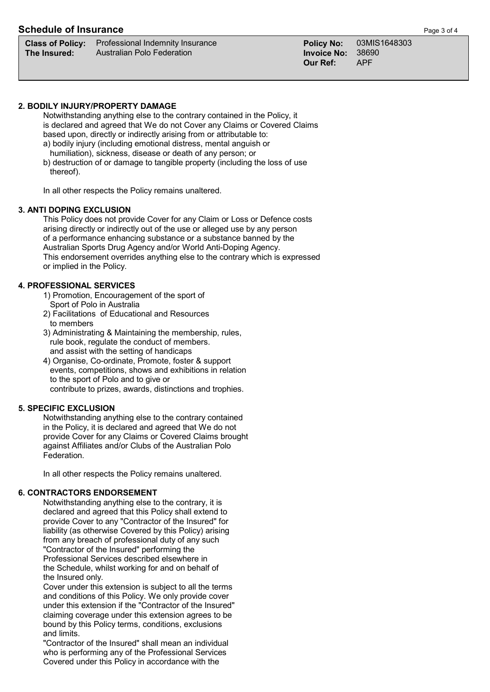## **Schedule of Insurance Page 3 of 4**

| <b>Class of Po</b> |  |  |
|--------------------|--|--|
| The Insure⊦        |  |  |

**Class of Policy:** Professional Indemnity Insurance **Policy No:** 03MIS1648303 **The Invoice No: 38690**<br>**The Invoice No: 38690**<br>**The Invoice No: 38690** 

## **2. BODILY INJURY/PROPERTY DAMAGE**

 Notwithstanding anything else to the contrary contained in the Policy, it is declared and agreed that We do not Cover any Claims or Covered Claims based upon, directly or indirectly arising from or attributable to:

- a) bodily injury (including emotional distress, mental anguish or humiliation), sickness, disease or death of any person; or
- b) destruction of or damage to tangible property (including the loss of use thereof).

In all other respects the Policy remains unaltered.

## **3. ANTI DOPING EXCLUSION**

 This Policy does not provide Cover for any Claim or Loss or Defence costs arising directly or indirectly out of the use or alleged use by any person of a performance enhancing substance or a substance banned by the Australian Sports Drug Agency and/or World Anti-Doping Agency. This endorsement overrides anything else to the contrary which is expressed or implied in the Policy.

## **4. PROFESSIONAL SERVICES**

- 1) Promotion, Encouragement of the sport of Sport of Polo in Australia
- 2) Facilitations of Educational and Resources to members
- 3) Administrating & Maintaining the membership, rules, rule book, regulate the conduct of members. and assist with the setting of handicaps
- 4) Organise, Co-ordinate, Promote, foster & support events, competitions, shows and exhibitions in relation to the sport of Polo and to give or contribute to prizes, awards, distinctions and trophies.

## **5. SPECIFIC EXCLUSION**

 Notwithstanding anything else to the contrary contained in the Policy, it is declared and agreed that We do not provide Cover for any Claims or Covered Claims brought against Affiliates and/or Clubs of the Australian Polo Federation.

In all other respects the Policy remains unaltered.

## **6. CONTRACTORS ENDORSEMENT**

 Notwithstanding anything else to the contrary, it is declared and agreed that this Policy shall extend to provide Cover to any "Contractor of the Insured" for liability (as otherwise Covered by this Policy) arising from any breach of professional duty of any such "Contractor of the Insured" performing the Professional Services described elsewhere in the Schedule, whilst working for and on behalf of the Insured only.

 Cover under this extension is subject to all the terms and conditions of this Policy. We only provide cover under this extension if the "Contractor of the Insured" claiming coverage under this extension agrees to be bound by this Policy terms, conditions, exclusions and limits.

 "Contractor of the Insured" shall mean an individual who is performing any of the Professional Services Covered under this Policy in accordance with the